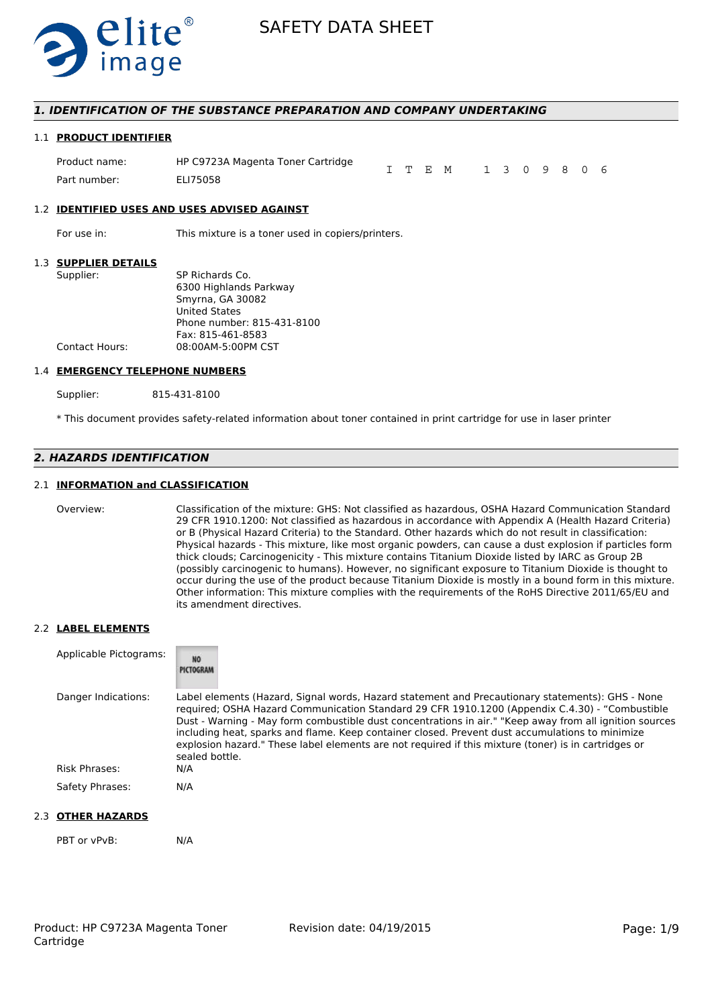

### *1. IDENTIFICATION OF THE SUBSTANCE PREPARATION AND COMPANY UNDERTAKING*

#### 1.1 **PRODUCT IDENTIFIER**

| Product name: | HP C9723A Magenta Toner Cartridge |  | I T E M 1 3 0 9 8 0 6 |  |  |  |  |
|---------------|-----------------------------------|--|-----------------------|--|--|--|--|
| Part number:  | ELI75058                          |  |                       |  |  |  |  |

#### 1.2 **IDENTIFIED USES AND USES ADVISED AGAINST**

For use in: This mixture is a toner used in copiers/printers.

#### 1.3 **SUPPLIER DETAILS**

| JUFF LILI\ DL I AILJ |                            |
|----------------------|----------------------------|
| Supplier:            | SP Richards Co.            |
|                      | 6300 Highlands Parkway     |
|                      | Smyrna, GA 30082           |
|                      | <b>United States</b>       |
|                      | Phone number: 815-431-8100 |
|                      | Fax: 815-461-8583          |
| Contact Hours:       | 08:00AM-5:00PM CST         |
|                      |                            |

#### 1.4 **EMERGENCY TELEPHONE NUMBERS**

Supplier: 815-431-8100

\* This document provides safety-related information about toner contained in print cartridge for use in laser printer

# *2. HAZARDS IDENTIFICATION*

### 2.1 **INFORMATION and CLASSIFICATION**

Overview: Classification of the mixture: GHS: Not classified as hazardous, OSHA Hazard Communication Standard 29 CFR 1910.1200: Not classified as hazardous in accordance with Appendix A (Health Hazard Criteria) or B (Physical Hazard Criteria) to the Standard. Other hazards which do not result in classification: Physical hazards - This mixture, like most organic powders, can cause a dust explosion if particles form thick clouds; Carcinogenicity - This mixture contains Titanium Dioxide listed by IARC as Group 2B (possibly carcinogenic to humans). However, no significant exposure to Titanium Dioxide is thought to occur during the use of the product because Titanium Dioxide is mostly in a bound form in this mixture. Other information: This mixture complies with the requirements of the RoHS Directive 2011/65/EU and its amendment directives.

#### 2.2 **LABEL ELEMENTS**

| Applicable Pictograms: | <b>NO</b><br>PICTOGRAM                                                                                                                                                                                                                                                                                                                                                                                                                                                                                                                     |
|------------------------|--------------------------------------------------------------------------------------------------------------------------------------------------------------------------------------------------------------------------------------------------------------------------------------------------------------------------------------------------------------------------------------------------------------------------------------------------------------------------------------------------------------------------------------------|
| Danger Indications:    | Label elements (Hazard, Signal words, Hazard statement and Precautionary statements): GHS - None<br>required; OSHA Hazard Communication Standard 29 CFR 1910.1200 (Appendix C.4.30) - "Combustible<br>Dust - Warning - May form combustible dust concentrations in air." "Keep away from all ignition sources<br>including heat, sparks and flame. Keep container closed. Prevent dust accumulations to minimize<br>explosion hazard." These label elements are not required if this mixture (toner) is in cartridges or<br>sealed bottle. |
| <b>Risk Phrases:</b>   | N/A                                                                                                                                                                                                                                                                                                                                                                                                                                                                                                                                        |
| Safety Phrases:        | N/A                                                                                                                                                                                                                                                                                                                                                                                                                                                                                                                                        |

#### 2.3 **OTHER HAZARDS**

PBT or vPvB: N/A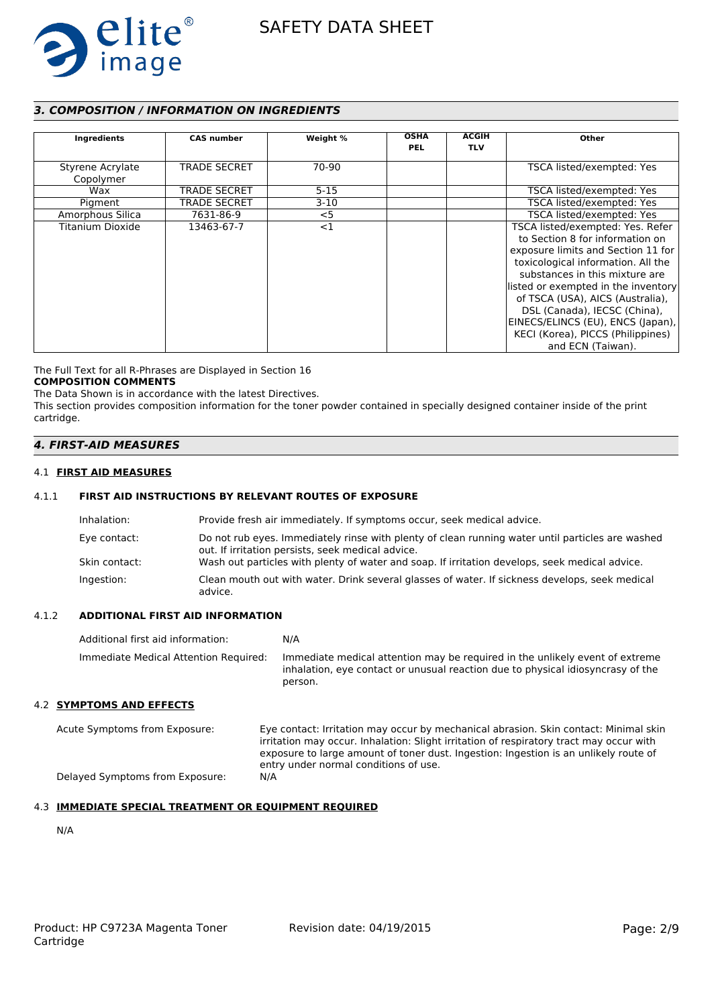

# *3. COMPOSITION / INFORMATION ON INGREDIENTS*

| Ingredients                   | <b>CAS number</b>   | Weight % | <b>OSHA</b><br><b>PEL</b> | <b>ACGIH</b><br><b>TLV</b> | Other                                                                                                                                                                                                                                                                                                                                                                                       |
|-------------------------------|---------------------|----------|---------------------------|----------------------------|---------------------------------------------------------------------------------------------------------------------------------------------------------------------------------------------------------------------------------------------------------------------------------------------------------------------------------------------------------------------------------------------|
| Styrene Acrylate<br>Copolymer | <b>TRADE SECRET</b> | 70-90    |                           |                            | TSCA listed/exempted: Yes                                                                                                                                                                                                                                                                                                                                                                   |
| Wax                           | <b>TRADE SECRET</b> | $5 - 15$ |                           |                            | TSCA listed/exempted: Yes                                                                                                                                                                                                                                                                                                                                                                   |
| Pigment                       | <b>TRADE SECRET</b> | $3-10$   |                           |                            | TSCA listed/exempted: Yes                                                                                                                                                                                                                                                                                                                                                                   |
| Amorphous Silica              | 7631-86-9           | $<$ 5    |                           |                            | TSCA listed/exempted: Yes                                                                                                                                                                                                                                                                                                                                                                   |
| Titanium Dioxide              | 13463-67-7          | <1       |                           |                            | TSCA listed/exempted: Yes. Refer<br>to Section 8 for information on<br>exposure limits and Section 11 for<br>toxicological information. All the<br>substances in this mixture are<br>listed or exempted in the inventory<br>of TSCA (USA), AICS (Australia),<br>DSL (Canada), IECSC (China),<br>EINECS/ELINCS (EU), ENCS (Japan),<br>KECI (Korea), PICCS (Philippines)<br>and ECN (Taiwan). |

The Full Text for all R-Phrases are Displayed in Section 16 **COMPOSITION COMMENTS**

The Data Shown is in accordance with the latest Directives.

This section provides composition information for the toner powder contained in specially designed container inside of the print cartridge.

# *4. FIRST-AID MEASURES*

#### 4.1 **FIRST AID MEASURES**

### 4.1.1 **FIRST AID INSTRUCTIONS BY RELEVANT ROUTES OF EXPOSURE**

| Inhalation:   | Provide fresh air immediately. If symptoms occur, seek medical advice.                                                                                |
|---------------|-------------------------------------------------------------------------------------------------------------------------------------------------------|
| Eye contact:  | Do not rub eyes. Immediately rinse with plenty of clean running water until particles are washed<br>out. If irritation persists, seek medical advice. |
| Skin contact: | Wash out particles with plenty of water and soap. If irritation develops, seek medical advice.                                                        |
| Ingestion:    | Clean mouth out with water. Drink several glasses of water. If sickness develops, seek medical<br>advice.                                             |

### 4.1.2 **ADDITIONAL FIRST AID INFORMATION**

| Additional first aid information:     | N/A                                                                                                                                                                        |
|---------------------------------------|----------------------------------------------------------------------------------------------------------------------------------------------------------------------------|
| Immediate Medical Attention Required: | Immediate medical attention may be required in the unlikely event of extreme<br>inhalation, eye contact or unusual reaction due to physical idiosyncrasy of the<br>person. |
| 4.2 SYMPTOMS AND EFFECTS              |                                                                                                                                                                            |

Acute Symptoms from Exposure: Eye contact: Irritation may occur by mechanical abrasion. Skin contact: Minimal skin irritation may occur. Inhalation: Slight irritation of respiratory tract may occur with exposure to large amount of toner dust. Ingestion: Ingestion is an unlikely route of entry under normal conditions of use. Delayed Symptoms from Exposure: N/A

### 4.3 **IMMEDIATE SPECIAL TREATMENT OR EQUIPMENT REQUIRED**

N/A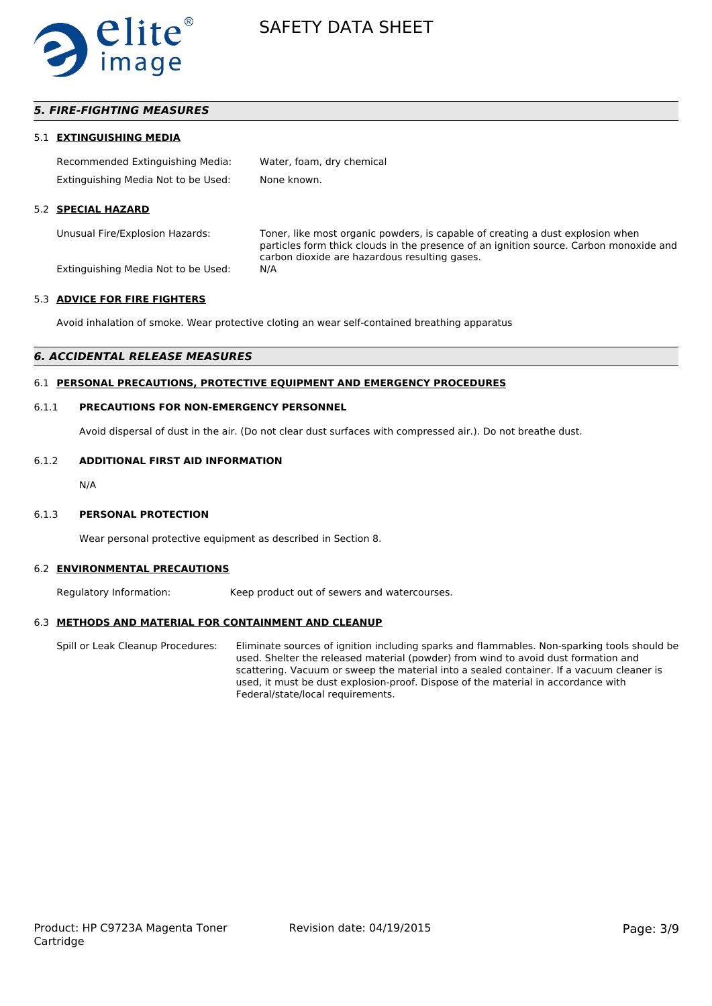

### *5. FIRE-FIGHTING MEASURES*

#### 5.1 **EXTINGUISHING MEDIA**

| Recommended Extinguishing Media:    | Water, foam, dry chemical |
|-------------------------------------|---------------------------|
| Extinguishing Media Not to be Used: | None known.               |

#### 5.2 **SPECIAL HAZARD**

Unusual Fire/Explosion Hazards: Toner, like most organic powders, is capable of creating a dust explosion when particles form thick clouds in the presence of an ignition source. Carbon monoxide and carbon dioxide are hazardous resulting gases.

Extinguishing Media Not to be Used: N/A

#### 5.3 **ADVICE FOR FIRE FIGHTERS**

Avoid inhalation of smoke. Wear protective cloting an wear self-contained breathing apparatus

#### *6. ACCIDENTAL RELEASE MEASURES*

### 6.1 **PERSONAL PRECAUTIONS, PROTECTIVE EQUIPMENT AND EMERGENCY PROCEDURES**

#### 6.1.1 **PRECAUTIONS FOR NON-EMERGENCY PERSONNEL**

Avoid dispersal of dust in the air. (Do not clear dust surfaces with compressed air.). Do not breathe dust.

#### 6.1.2 **ADDITIONAL FIRST AID INFORMATION**

N/A

#### 6.1.3 **PERSONAL PROTECTION**

Wear personal protective equipment as described in Section 8.

#### 6.2 **ENVIRONMENTAL PRECAUTIONS**

Regulatory Information: Keep product out of sewers and watercourses.

#### 6.3 **METHODS AND MATERIAL FOR CONTAINMENT AND CLEANUP**

Spill or Leak Cleanup Procedures: Eliminate sources of ignition including sparks and flammables. Non-sparking tools should be used. Shelter the released material (powder) from wind to avoid dust formation and scattering. Vacuum or sweep the material into a sealed container. If a vacuum cleaner is used, it must be dust explosion-proof. Dispose of the material in accordance with Federal/state/local requirements.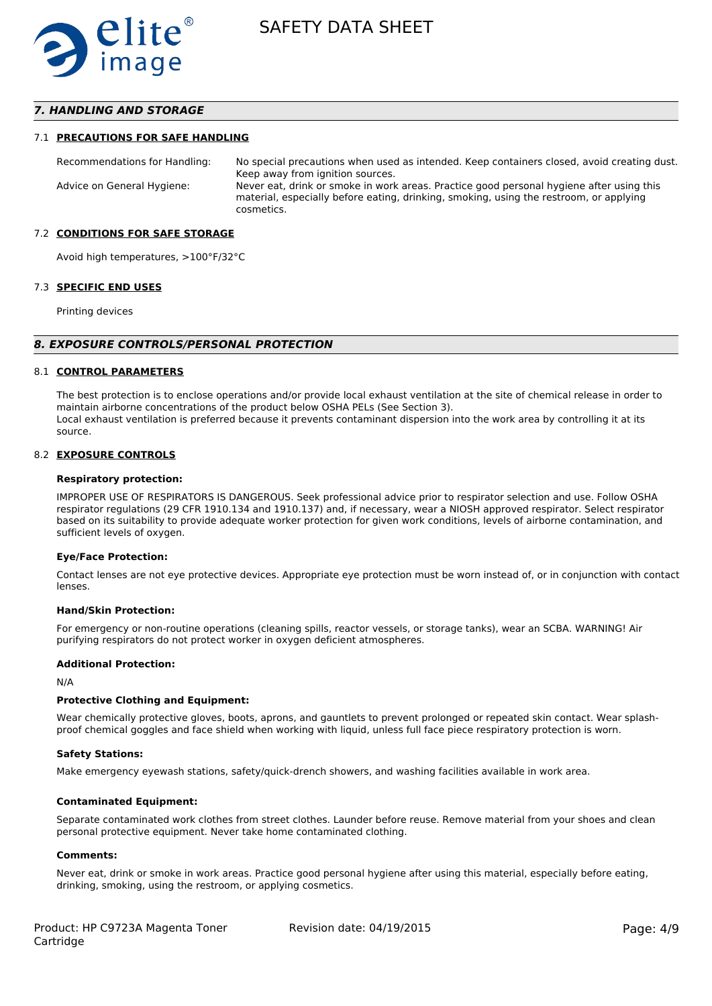

### *7. HANDLING AND STORAGE*

#### 7.1 **PRECAUTIONS FOR SAFE HANDLING**

Recommendations for Handling: No special precautions when used as intended. Keep containers closed, avoid creating dust. Keep away from ignition sources. Advice on General Hygiene: Never eat, drink or smoke in work areas. Practice good personal hygiene after using this material, especially before eating, drinking, smoking, using the restroom, or applying cosmetics.

#### 7.2 **CONDITIONS FOR SAFE STORAGE**

Avoid high temperatures, >100°F/32°C

#### 7.3 **SPECIFIC END USES**

Printing devices

#### *8. EXPOSURE CONTROLS/PERSONAL PROTECTION*

#### 8.1 **CONTROL PARAMETERS**

The best protection is to enclose operations and/or provide local exhaust ventilation at the site of chemical release in order to maintain airborne concentrations of the product below OSHA PELs (See Section 3). Local exhaust ventilation is preferred because it prevents contaminant dispersion into the work area by controlling it at its source.

#### 8.2 **EXPOSURE CONTROLS**

#### **Respiratory protection:**

IMPROPER USE OF RESPIRATORS IS DANGEROUS. Seek professional advice prior to respirator selection and use. Follow OSHA respirator regulations (29 CFR 1910.134 and 1910.137) and, if necessary, wear a NIOSH approved respirator. Select respirator based on its suitability to provide adequate worker protection for given work conditions, levels of airborne contamination, and sufficient levels of oxygen.

#### **Eye/Face Protection:**

Contact lenses are not eye protective devices. Appropriate eye protection must be worn instead of, or in conjunction with contact lenses.

#### **Hand/Skin Protection:**

For emergency or non-routine operations (cleaning spills, reactor vessels, or storage tanks), wear an SCBA. WARNING! Air purifying respirators do not protect worker in oxygen deficient atmospheres.

#### **Additional Protection:**

N/A

#### **Protective Clothing and Equipment:**

Wear chemically protective gloves, boots, aprons, and gauntlets to prevent prolonged or repeated skin contact. Wear splashproof chemical goggles and face shield when working with liquid, unless full face piece respiratory protection is worn.

#### **Safety Stations:**

Make emergency eyewash stations, safety/quick-drench showers, and washing facilities available in work area.

#### **Contaminated Equipment:**

Separate contaminated work clothes from street clothes. Launder before reuse. Remove material from your shoes and clean personal protective equipment. Never take home contaminated clothing.

#### **Comments:**

Never eat, drink or smoke in work areas. Practice good personal hygiene after using this material, especially before eating, drinking, smoking, using the restroom, or applying cosmetics.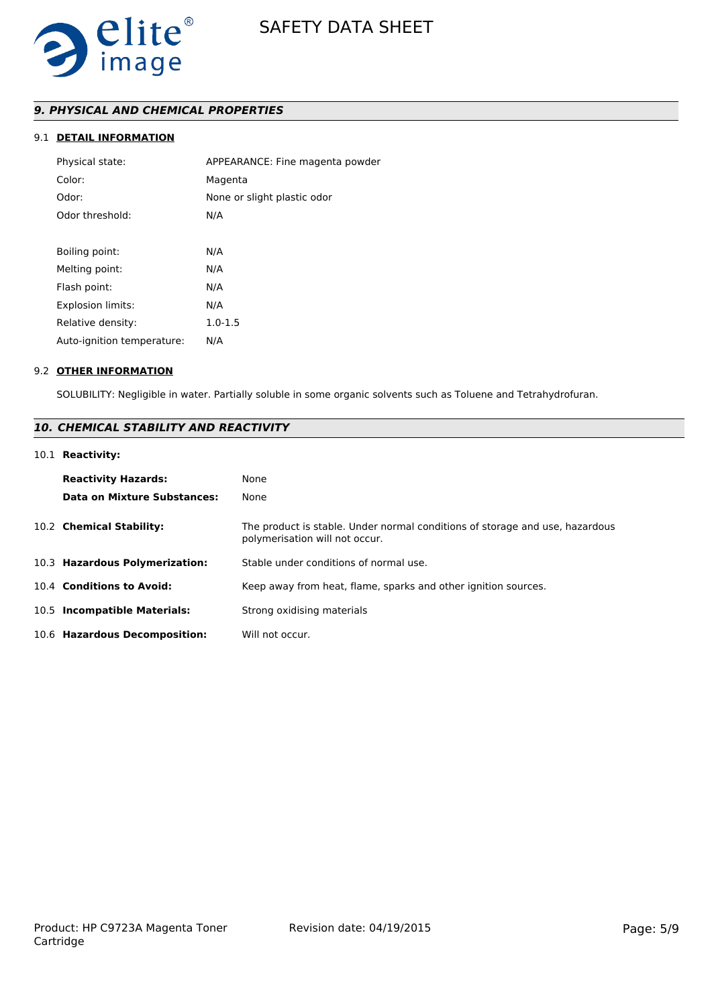

# *9. PHYSICAL AND CHEMICAL PROPERTIES*

# 9.1 **DETAIL INFORMATION**

| Physical state:            | APPEARANCE: Fine magenta powder |
|----------------------------|---------------------------------|
| Color:                     | Magenta                         |
| Odor:                      | None or slight plastic odor     |
| Odor threshold:            | N/A                             |
|                            |                                 |
| Boiling point:             | N/A                             |
| Melting point:             | N/A                             |
| Flash point:               | N/A                             |
| Explosion limits:          | N/A                             |
| Relative density:          | $1.0 - 1.5$                     |
| Auto-ignition temperature: | N/A                             |
|                            |                                 |

#### 9.2 **OTHER INFORMATION**

SOLUBILITY: Negligible in water. Partially soluble in some organic solvents such as Toluene and Tetrahydrofuran.

# *10. CHEMICAL STABILITY AND REACTIVITY*

# 10.1 **Reactivity:**

| <b>Reactivity Hazards:</b><br>Data on Mixture Substances: | None<br>None                                                                                                   |
|-----------------------------------------------------------|----------------------------------------------------------------------------------------------------------------|
| 10.2 Chemical Stability:                                  | The product is stable. Under normal conditions of storage and use, hazardous<br>polymerisation will not occur. |
| 10.3 Hazardous Polymerization:                            | Stable under conditions of normal use.                                                                         |
| 10.4 Conditions to Avoid:                                 | Keep away from heat, flame, sparks and other ignition sources.                                                 |
| 10.5 Incompatible Materials:                              | Strong oxidising materials                                                                                     |
| 10.6 Hazardous Decomposition:                             | Will not occur.                                                                                                |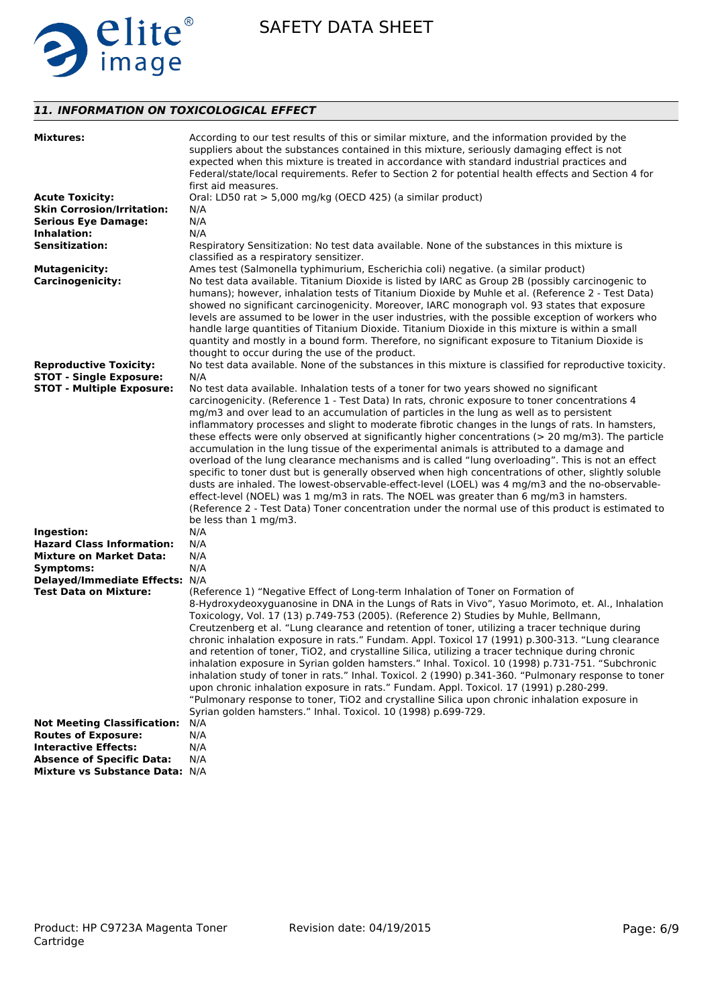

# *11. INFORMATION ON TOXICOLOGICAL EFFECT*

| <b>Mixtures:</b>                                               | According to our test results of this or similar mixture, and the information provided by the<br>suppliers about the substances contained in this mixture, seriously damaging effect is not<br>expected when this mixture is treated in accordance with standard industrial practices and<br>Federal/state/local requirements. Refer to Section 2 for potential health effects and Section 4 for<br>first aid measures.                                                                                                                                                                                                                                                                                                                                                                                                                                                                                                                                                                                                                                          |
|----------------------------------------------------------------|------------------------------------------------------------------------------------------------------------------------------------------------------------------------------------------------------------------------------------------------------------------------------------------------------------------------------------------------------------------------------------------------------------------------------------------------------------------------------------------------------------------------------------------------------------------------------------------------------------------------------------------------------------------------------------------------------------------------------------------------------------------------------------------------------------------------------------------------------------------------------------------------------------------------------------------------------------------------------------------------------------------------------------------------------------------|
| <b>Acute Toxicity:</b>                                         | Oral: LD50 rat > 5,000 mg/kg (OECD 425) (a similar product)                                                                                                                                                                                                                                                                                                                                                                                                                                                                                                                                                                                                                                                                                                                                                                                                                                                                                                                                                                                                      |
| <b>Skin Corrosion/Irritation:</b>                              | N/A                                                                                                                                                                                                                                                                                                                                                                                                                                                                                                                                                                                                                                                                                                                                                                                                                                                                                                                                                                                                                                                              |
| <b>Serious Eye Damage:</b>                                     | N/A                                                                                                                                                                                                                                                                                                                                                                                                                                                                                                                                                                                                                                                                                                                                                                                                                                                                                                                                                                                                                                                              |
| Inhalation:                                                    | N/A                                                                                                                                                                                                                                                                                                                                                                                                                                                                                                                                                                                                                                                                                                                                                                                                                                                                                                                                                                                                                                                              |
| <b>Sensitization:</b>                                          | Respiratory Sensitization: No test data available. None of the substances in this mixture is<br>classified as a respiratory sensitizer.                                                                                                                                                                                                                                                                                                                                                                                                                                                                                                                                                                                                                                                                                                                                                                                                                                                                                                                          |
| <b>Mutagenicity:</b>                                           | Ames test (Salmonella typhimurium, Escherichia coli) negative. (a similar product)                                                                                                                                                                                                                                                                                                                                                                                                                                                                                                                                                                                                                                                                                                                                                                                                                                                                                                                                                                               |
| <b>Carcinogenicity:</b>                                        | No test data available. Titanium Dioxide is listed by IARC as Group 2B (possibly carcinogenic to<br>humans); however, inhalation tests of Titanium Dioxide by Muhle et al. (Reference 2 - Test Data)<br>showed no significant carcinogenicity. Moreover, IARC monograph vol. 93 states that exposure<br>levels are assumed to be lower in the user industries, with the possible exception of workers who<br>handle large quantities of Titanium Dioxide. Titanium Dioxide in this mixture is within a small<br>quantity and mostly in a bound form. Therefore, no significant exposure to Titanium Dioxide is<br>thought to occur during the use of the product.                                                                                                                                                                                                                                                                                                                                                                                                |
| <b>Reproductive Toxicity:</b>                                  | No test data available. None of the substances in this mixture is classified for reproductive toxicity.                                                                                                                                                                                                                                                                                                                                                                                                                                                                                                                                                                                                                                                                                                                                                                                                                                                                                                                                                          |
| <b>STOT - Single Exposure:</b>                                 | N/A                                                                                                                                                                                                                                                                                                                                                                                                                                                                                                                                                                                                                                                                                                                                                                                                                                                                                                                                                                                                                                                              |
| <b>STOT - Multiple Exposure:</b>                               | No test data available. Inhalation tests of a toner for two years showed no significant                                                                                                                                                                                                                                                                                                                                                                                                                                                                                                                                                                                                                                                                                                                                                                                                                                                                                                                                                                          |
|                                                                | carcinogenicity. (Reference 1 - Test Data) In rats, chronic exposure to toner concentrations 4<br>mg/m3 and over lead to an accumulation of particles in the lung as well as to persistent<br>inflammatory processes and slight to moderate fibrotic changes in the lungs of rats. In hamsters,<br>these effects were only observed at significantly higher concentrations (> 20 mg/m3). The particle<br>accumulation in the lung tissue of the experimental animals is attributed to a damage and<br>overload of the lung clearance mechanisms and is called "lung overloading". This is not an effect<br>specific to toner dust but is generally observed when high concentrations of other, slightly soluble<br>dusts are inhaled. The lowest-observable-effect-level (LOEL) was 4 mg/m3 and the no-observable-<br>effect-level (NOEL) was 1 mg/m3 in rats. The NOEL was greater than 6 mg/m3 in hamsters.<br>(Reference 2 - Test Data) Toner concentration under the normal use of this product is estimated to<br>be less than 1 mg/m3.                     |
| Ingestion:                                                     | N/A                                                                                                                                                                                                                                                                                                                                                                                                                                                                                                                                                                                                                                                                                                                                                                                                                                                                                                                                                                                                                                                              |
| <b>Hazard Class Information:</b>                               | N/A                                                                                                                                                                                                                                                                                                                                                                                                                                                                                                                                                                                                                                                                                                                                                                                                                                                                                                                                                                                                                                                              |
| <b>Mixture on Market Data:</b>                                 | N/A                                                                                                                                                                                                                                                                                                                                                                                                                                                                                                                                                                                                                                                                                                                                                                                                                                                                                                                                                                                                                                                              |
| Symptoms:                                                      | N/A                                                                                                                                                                                                                                                                                                                                                                                                                                                                                                                                                                                                                                                                                                                                                                                                                                                                                                                                                                                                                                                              |
| Delayed/Immediate Effects: N/A<br><b>Test Data on Mixture:</b> | (Reference 1) "Negative Effect of Long-term Inhalation of Toner on Formation of<br>8-Hydroxydeoxyguanosine in DNA in the Lungs of Rats in Vivo", Yasuo Morimoto, et. Al., Inhalation<br>Toxicology, Vol. 17 (13) p.749-753 (2005). (Reference 2) Studies by Muhle, Bellmann,<br>Creutzenberg et al. "Lung clearance and retention of toner, utilizing a tracer technique during<br>chronic inhalation exposure in rats." Fundam. Appl. Toxicol 17 (1991) p.300-313. "Lung clearance<br>and retention of toner, TiO2, and crystalline Silica, utilizing a tracer technique during chronic<br>inhalation exposure in Syrian golden hamsters." Inhal. Toxicol. 10 (1998) p.731-751. "Subchronic<br>inhalation study of toner in rats." Inhal. Toxicol. 2 (1990) p.341-360. "Pulmonary response to toner<br>upon chronic inhalation exposure in rats." Fundam. Appl. Toxicol. 17 (1991) p.280-299.<br>"Pulmonary response to toner, TiO2 and crystalline Silica upon chronic inhalation exposure in<br>Syrian golden hamsters." Inhal. Toxicol. 10 (1998) p.699-729. |
| <b>Not Meeting Classification:</b>                             | N/A                                                                                                                                                                                                                                                                                                                                                                                                                                                                                                                                                                                                                                                                                                                                                                                                                                                                                                                                                                                                                                                              |
| <b>Routes of Exposure:</b>                                     | N/A                                                                                                                                                                                                                                                                                                                                                                                                                                                                                                                                                                                                                                                                                                                                                                                                                                                                                                                                                                                                                                                              |
| <b>Interactive Effects:</b>                                    | N/A                                                                                                                                                                                                                                                                                                                                                                                                                                                                                                                                                                                                                                                                                                                                                                                                                                                                                                                                                                                                                                                              |
| <b>Absence of Specific Data:</b>                               | N/A                                                                                                                                                                                                                                                                                                                                                                                                                                                                                                                                                                                                                                                                                                                                                                                                                                                                                                                                                                                                                                                              |
| Mixture vs Substance Data: N/A                                 |                                                                                                                                                                                                                                                                                                                                                                                                                                                                                                                                                                                                                                                                                                                                                                                                                                                                                                                                                                                                                                                                  |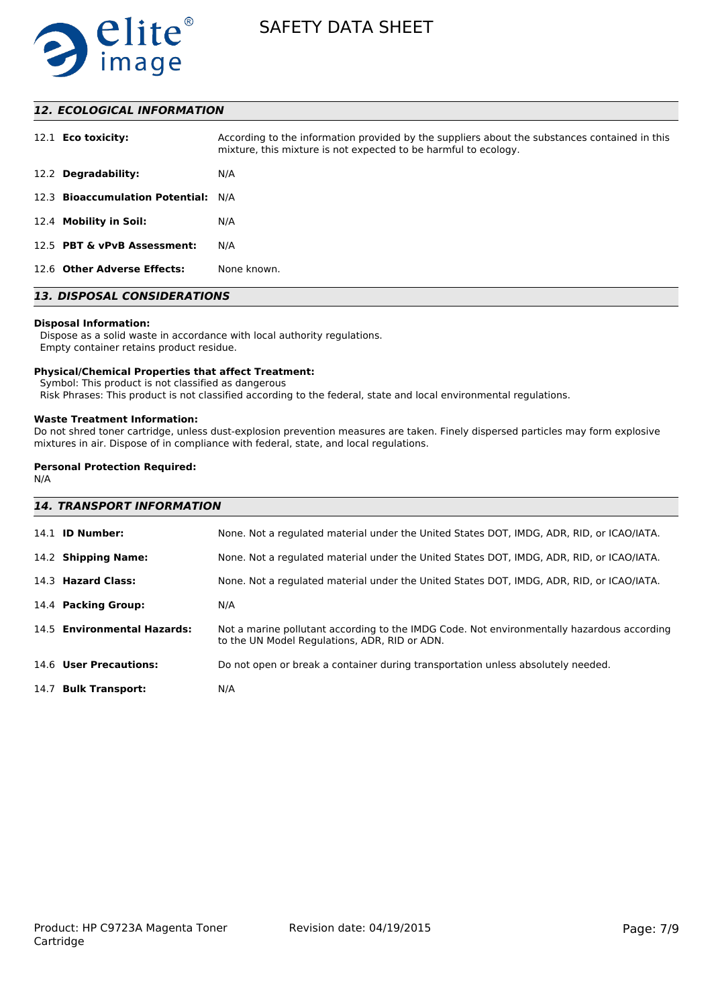

# *12. ECOLOGICAL INFORMATION*

| 12.1 <b>Eco toxicity:</b>           | According to the information provided by the suppliers about the substances contained in this<br>mixture, this mixture is not expected to be harmful to ecology. |
|-------------------------------------|------------------------------------------------------------------------------------------------------------------------------------------------------------------|
| 12.2 Degradability:                 | N/A                                                                                                                                                              |
| 12.3 Bioaccumulation Potential: N/A |                                                                                                                                                                  |
| 12.4 Mobility in Soil:              | N/A                                                                                                                                                              |
| 12.5 PBT & vPvB Assessment:         | N/A                                                                                                                                                              |
| 12.6 Other Adverse Effects:         | None known.                                                                                                                                                      |

# *13. DISPOSAL CONSIDERATIONS*

#### **Disposal Information:**

 Dispose as a solid waste in accordance with local authority regulations. Empty container retains product residue.

#### **Physical/Chemical Properties that affect Treatment:**

Symbol: This product is not classified as dangerous

Risk Phrases: This product is not classified according to the federal, state and local environmental regulations.

#### **Waste Treatment Information:**

Do not shred toner cartridge, unless dust-explosion prevention measures are taken. Finely dispersed particles may form explosive mixtures in air. Dispose of in compliance with federal, state, and local regulations.

### **Personal Protection Required:**

N/A

| <b>14. TRANSPORT INFORMATION</b> |                                                                                                                                             |
|----------------------------------|---------------------------------------------------------------------------------------------------------------------------------------------|
| 14.1 <b>ID Number:</b>           | None. Not a regulated material under the United States DOT, IMDG, ADR, RID, or ICAO/IATA.                                                   |
| 14.2 Shipping Name:              | None. Not a regulated material under the United States DOT, IMDG, ADR, RID, or ICAO/IATA.                                                   |
| 14.3 Hazard Class:               | None. Not a regulated material under the United States DOT, IMDG, ADR, RID, or ICAO/IATA.                                                   |
| 14.4 Packing Group:              | N/A                                                                                                                                         |
| 14.5 Environmental Hazards:      | Not a marine pollutant according to the IMDG Code. Not environmentally hazardous according<br>to the UN Model Regulations, ADR, RID or ADN. |
| 14.6 User Precautions:           | Do not open or break a container during transportation unless absolutely needed.                                                            |
| 14.7 Bulk Transport:             | N/A                                                                                                                                         |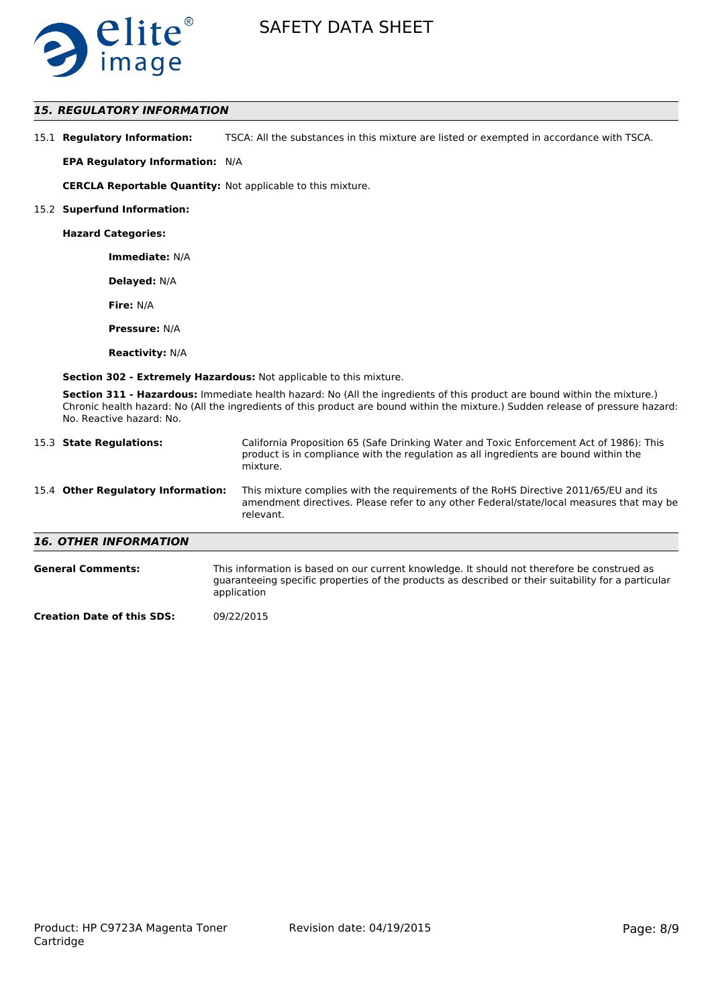

# *15. REGULATORY INFORMATION*

| 15.1 Regulatory Information: | TSCA: All the substances in this mixture are listed or exempted in accordance with TSCA. |
|------------------------------|------------------------------------------------------------------------------------------|
|------------------------------|------------------------------------------------------------------------------------------|

**EPA Regulatory Information:** N/A

**CERCLA Reportable Quantity:** Not applicable to this mixture.

#### 15.2 **Superfund Information:**

**Hazard Categories:**

**Immediate:** N/A

**Delayed:** N/A

**Fire:** N/A

**Pressure:** N/A

**Reactivity:** N/A

**Section 302 - Extremely Hazardous:** Not applicable to this mixture.

**Section 311 - Hazardous:** Immediate health hazard: No (All the ingredients of this product are bound within the mixture.) Chronic health hazard: No (All the ingredients of this product are bound within the mixture.) Sudden release of pressure hazard: No. Reactive hazard: No.

| 15.3 State Regulations:            | California Proposition 65 (Safe Drinking Water and Toxic Enforcement Act of 1986): This<br>product is in compliance with the regulation as all ingredients are bound within the<br>mixture.   |
|------------------------------------|-----------------------------------------------------------------------------------------------------------------------------------------------------------------------------------------------|
| 15.4 Other Regulatory Information: | This mixture complies with the requirements of the RoHS Directive 2011/65/EU and its<br>amendment directives. Please refer to any other Federal/state/local measures that may be<br>relevant. |
| <b>16. OTHER INFORMATION</b>       |                                                                                                                                                                                               |
| <b>General Comments:</b>           | This information is based on our current knowledge. It should not therefore be construed as                                                                                                   |

guaranteeing specific properties of the products as described or their suitability for a particular application

**Creation Date of this SDS:** 09/22/2015